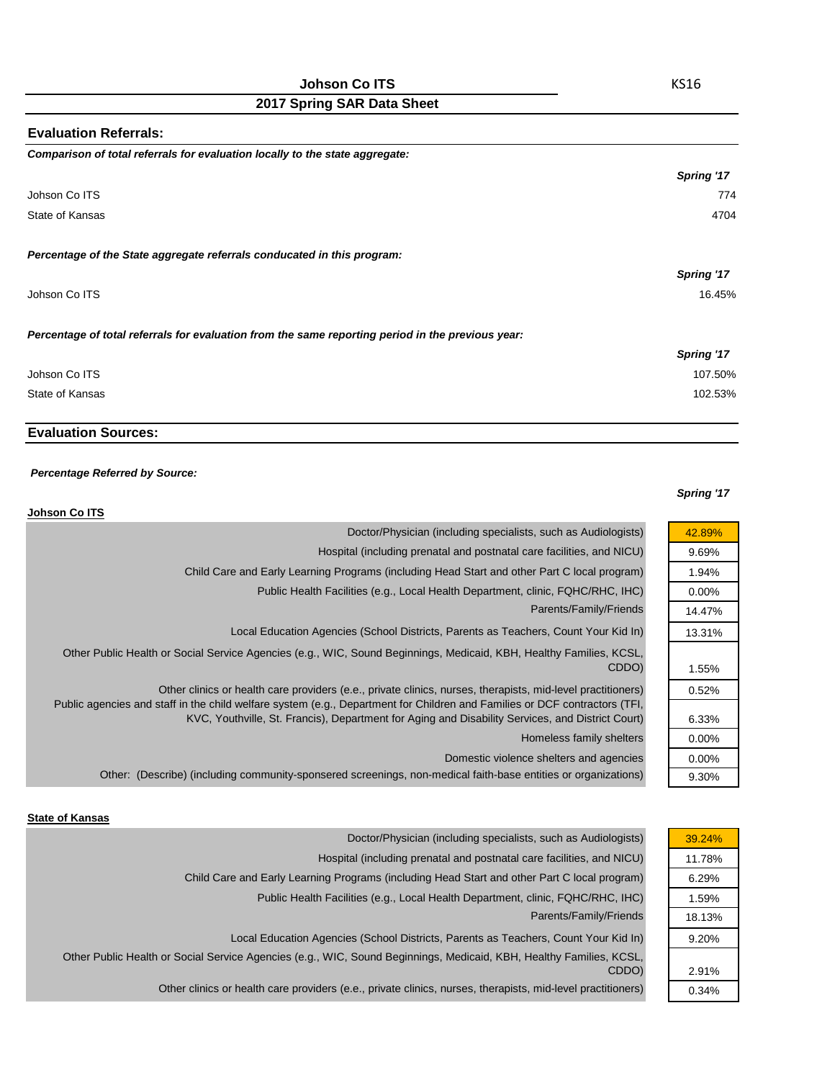| <b>Evaluation Referrals:</b>                                                                      |            |
|---------------------------------------------------------------------------------------------------|------------|
| Comparison of total referrals for evaluation locally to the state aggregate:                      |            |
|                                                                                                   | Spring '17 |
| Johson Co ITS                                                                                     | 774        |
| State of Kansas                                                                                   | 4704       |
| Percentage of the State aggregate referrals conducated in this program:                           |            |
|                                                                                                   | Spring '17 |
| Johson Co ITS                                                                                     | 16.45%     |
| Percentage of total referrals for evaluation from the same reporting period in the previous year: |            |
|                                                                                                   | Spring '17 |
| Johson Co ITS                                                                                     | 107.50%    |
| State of Kansas                                                                                   | 102.53%    |

# **Evaluation Sources:**

#### *Percentage Referred by Source:*

#### *Spring '17*

42.89% 9.69% 1.94% 0.00% 14.47% 13.31%

1.55% 0.52%

6.33% 0.00% 0.00% 9.30%

| Johson Co ITS                                                                                                                                                                                                                                                                                                                                 |
|-----------------------------------------------------------------------------------------------------------------------------------------------------------------------------------------------------------------------------------------------------------------------------------------------------------------------------------------------|
| Doctor/Physician (including specialists, such as Audiologists)                                                                                                                                                                                                                                                                                |
| Hospital (including prenatal and postnatal care facilities, and NICU)                                                                                                                                                                                                                                                                         |
| Child Care and Early Learning Programs (including Head Start and other Part C local program)                                                                                                                                                                                                                                                  |
| Public Health Facilities (e.g., Local Health Department, clinic, FQHC/RHC, IHC)                                                                                                                                                                                                                                                               |
| Parents/Family/Friends                                                                                                                                                                                                                                                                                                                        |
| Local Education Agencies (School Districts, Parents as Teachers, Count Your Kid In)                                                                                                                                                                                                                                                           |
| Other Public Health or Social Service Agencies (e.g., WIC, Sound Beginnings, Medicaid, KBH, Healthy Families, KCSL,<br>CDDO)                                                                                                                                                                                                                  |
| Other clinics or health care providers (e.e., private clinics, nurses, therapists, mid-level practitioners)<br>Public agencies and staff in the child welfare system (e.g., Department for Children and Families or DCF contractors (TFI,<br>KVC, Youthville, St. Francis), Department for Aging and Disability Services, and District Court) |
| Homeless family shelters                                                                                                                                                                                                                                                                                                                      |
| Domestic violence shelters and agencies                                                                                                                                                                                                                                                                                                       |
| Other: (Describe) (including community-sponsered screenings, non-medical faith-base entities or organizations)                                                                                                                                                                                                                                |

#### **State of Kansas**

| Doctor/Physician (including specialists, such as Audiologists)                                                      | 39.24% |
|---------------------------------------------------------------------------------------------------------------------|--------|
| Hospital (including prenatal and postnatal care facilities, and NICU)                                               | 11.78% |
| Child Care and Early Learning Programs (including Head Start and other Part C local program)                        | 6.29%  |
| Public Health Facilities (e.g., Local Health Department, clinic, FQHC/RHC, IHC)                                     | 1.59%  |
| Parents/Family/Friends                                                                                              | 18.13% |
| Local Education Agencies (School Districts, Parents as Teachers, Count Your Kid In)                                 | 9.20%  |
| Other Public Health or Social Service Agencies (e.g., WIC, Sound Beginnings, Medicaid, KBH, Healthy Families, KCSL, |        |
| CDDO)                                                                                                               | 2.91%  |
| Other clinics or health care providers (e.e., private clinics, nurses, therapists, mid-level practitioners)         | 0.34%  |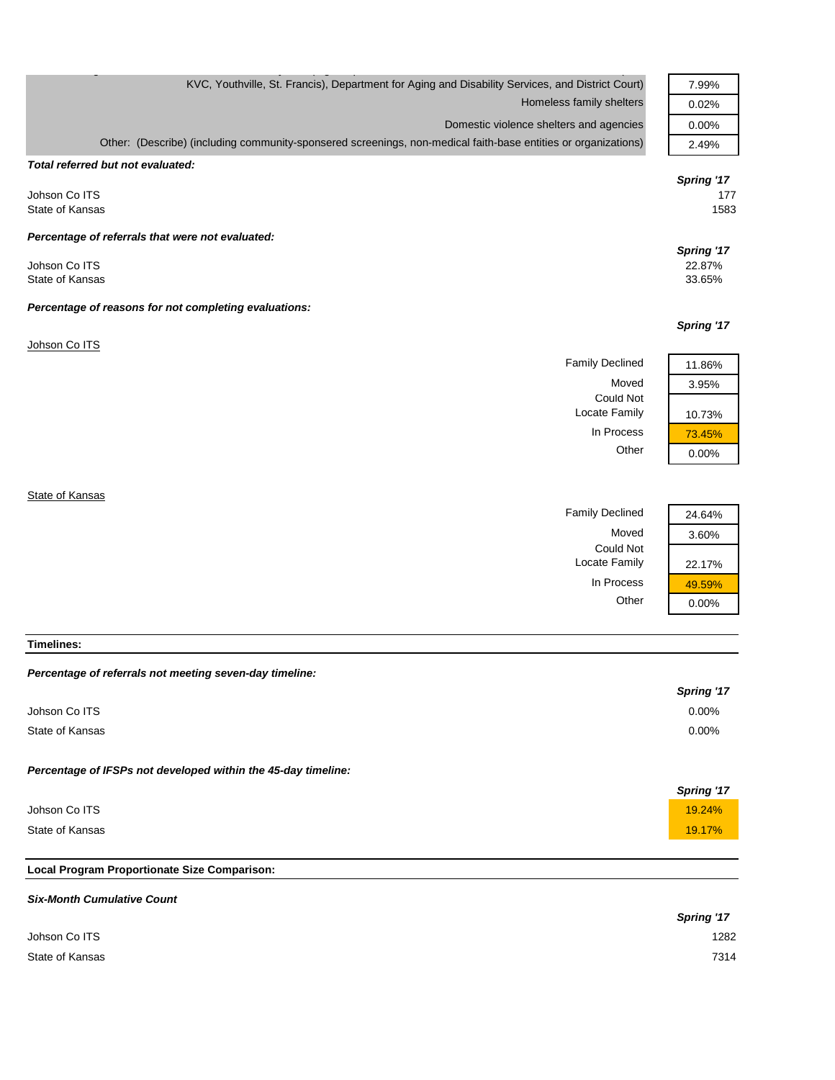| KVC, Youthville, St. Francis), Department for Aging and Disability Services, and District Court)               | 7.99%                     |
|----------------------------------------------------------------------------------------------------------------|---------------------------|
| Homeless family shelters                                                                                       | 0.02%                     |
| Domestic violence shelters and agencies                                                                        | 0.00%                     |
| Other: (Describe) (including community-sponsered screenings, non-medical faith-base entities or organizations) | 2.49%                     |
| Total referred but not evaluated:                                                                              |                           |
| Johson Co ITS<br>State of Kansas                                                                               | Spring '17<br>177<br>1583 |
| Percentage of referrals that were not evaluated:                                                               | Spring '17                |
| Johson Co ITS<br>State of Kansas                                                                               | 22.87%<br>33.65%          |
| Percentage of reasons for not completing evaluations:                                                          |                           |
|                                                                                                                | Spring '17                |
| Johson Co ITS                                                                                                  |                           |
| <b>Family Declined</b>                                                                                         | 11.86%                    |
| Moved                                                                                                          | 3.95%                     |
| <b>Could Not</b><br>Locate Family                                                                              | 10.73%                    |
| In Process                                                                                                     | 73.45%                    |
| Other                                                                                                          | 0.00%                     |
|                                                                                                                |                           |

**State of Kansas** 

Family Declined 24.64% Could Not Locate Family 22.17%



**Timelines:**

#### *Percentage of referrals not meeting seven-day timeline:*

|                                                               | <b>Spring '17</b> |
|---------------------------------------------------------------|-------------------|
| Johson Co ITS                                                 | 0.00%             |
| State of Kansas                                               | $0.00\%$          |
| Percentage of IFSPs not developed within the 45-day timeline: |                   |
|                                                               | <b>Spring '17</b> |
| Johson Co ITS                                                 | 19.24%            |
| State of Kansas                                               | 19.17%            |

### **Local Program Proportionate Size Comparison:**

| <b>Six-Month Cumulative Count</b> |            |
|-----------------------------------|------------|
|                                   | Spring '17 |
| Johson Co ITS                     | 1282       |
| State of Kansas                   | 7314       |